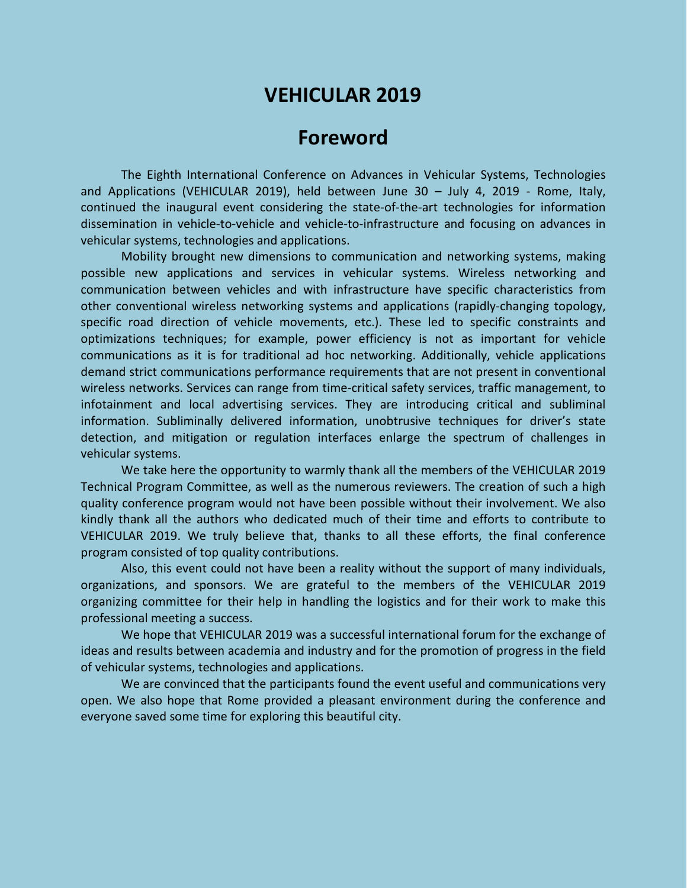# **VEHICULAR 2019**

## **Foreword**

The Eighth International Conference on Advances in Vehicular Systems, Technologies and Applications (VEHICULAR 2019), held between June 30 – July 4, 2019 - Rome, Italy, continued the inaugural event considering the state-of-the-art technologies for information dissemination in vehicle-to-vehicle and vehicle-to-infrastructure and focusing on advances in vehicular systems, technologies and applications.

Mobility brought new dimensions to communication and networking systems, making possible new applications and services in vehicular systems. Wireless networking and communication between vehicles and with infrastructure have specific characteristics from other conventional wireless networking systems and applications (rapidly-changing topology, specific road direction of vehicle movements, etc.). These led to specific constraints and optimizations techniques; for example, power efficiency is not as important for vehicle communications as it is for traditional ad hoc networking. Additionally, vehicle applications demand strict communications performance requirements that are not present in conventional wireless networks. Services can range from time-critical safety services, traffic management, to infotainment and local advertising services. They are introducing critical and subliminal information. Subliminally delivered information, unobtrusive techniques for driver's state detection, and mitigation or regulation interfaces enlarge the spectrum of challenges in vehicular systems.

We take here the opportunity to warmly thank all the members of the VEHICULAR 2019 Technical Program Committee, as well as the numerous reviewers. The creation of such a high quality conference program would not have been possible without their involvement. We also kindly thank all the authors who dedicated much of their time and efforts to contribute to VEHICULAR 2019. We truly believe that, thanks to all these efforts, the final conference program consisted of top quality contributions.

Also, this event could not have been a reality without the support of many individuals, organizations, and sponsors. We are grateful to the members of the VEHICULAR 2019 organizing committee for their help in handling the logistics and for their work to make this professional meeting a success.

We hope that VEHICULAR 2019 was a successful international forum for the exchange of ideas and results between academia and industry and for the promotion of progress in the field of vehicular systems, technologies and applications.

We are convinced that the participants found the event useful and communications very open. We also hope that Rome provided a pleasant environment during the conference and everyone saved some time for exploring this beautiful city.